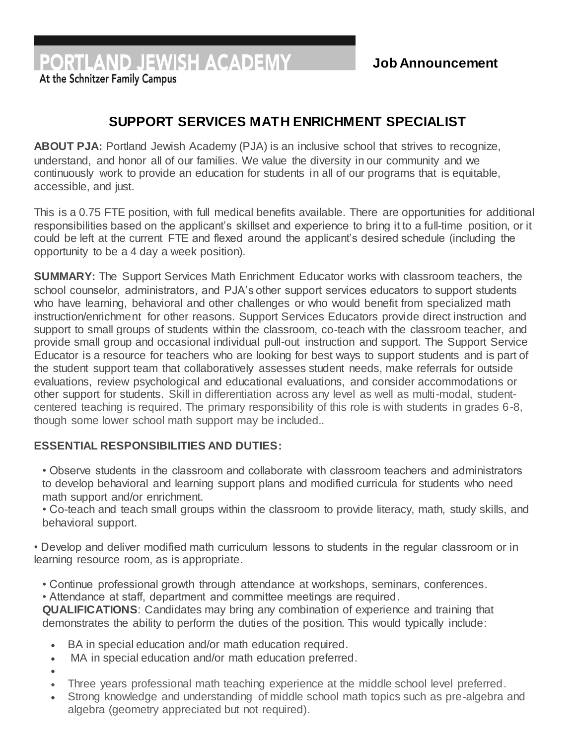PORTLAND JEWISH ACADEMY

At the Schnitzer Family Campus

## **SUPPORT SERVICES MATH ENRICHMENT SPECIALIST**

**ABOUT PJA:** Portland Jewish Academy (PJA) is an inclusive school that strives to recognize, understand, and honor all of our families. We value the diversity in our community and we continuously work to provide an education for students in all of our programs that is equitable, accessible, and just.

This is a 0.75 FTE position, with full medical benefits available. There are opportunities for additional responsibilities based on the applicant's skillset and experience to bring it to a full-time position, or it could be left at the current FTE and flexed around the applicant's desired schedule (including the opportunity to be a 4 day a week position).

**SUMMARY:** The Support Services Math Enrichment Educator works with classroom teachers, the school counselor, administrators, and PJA's other support services educators to support students who have learning, behavioral and other challenges or who would benefit from specialized math instruction/enrichment for other reasons. Support Services Educators provide direct instruction and support to small groups of students within the classroom, co-teach with the classroom teacher, and provide small group and occasional individual pull-out instruction and support. The Support Service Educator is a resource for teachers who are looking for best ways to support students and is part of the student support team that collaboratively assesses student needs, make referrals for outside evaluations, review psychological and educational evaluations, and consider accommodations or other support for students. Skill in differentiation across any level as well as multi-modal, studentcentered teaching is required. The primary responsibility of this role is with students in grades 6-8, though some lower school math support may be included..

## **ESSENTIAL RESPONSIBILITIES AND DUTIES:**

• Observe students in the classroom and collaborate with classroom teachers and administrators to develop behavioral and learning support plans and modified curricula for students who need math support and/or enrichment.

• Co-teach and teach small groups within the classroom to provide literacy, math, study skills, and behavioral support.

• Develop and deliver modified math curriculum lessons to students in the regular classroom or in learning resource room, as is appropriate.

• Continue professional growth through attendance at workshops, seminars, conferences.

• Attendance at staff, department and committee meetings are required.

**QUALIFICATIONS**: Candidates may bring any combination of experience and training that demonstrates the ability to perform the duties of the position. This would typically include:

- BA in special education and/or math education required.
- MA in special education and/or math education preferred.
- $\bullet$
- Three years professional math teaching experience at the middle school level preferred.
- Strong knowledge and understanding of middle school math topics such as pre-algebra and algebra (geometry appreciated but not required).